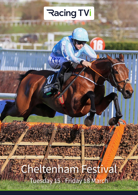# **Racing TVi**

Ra

# Cheltenham Festival Tuesday 15 - Friday 18 March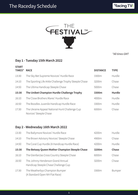



*\*All times GMT*

#### **Day 1 - Tuesday 15th March 2022**

| <b>START</b> |                                                                          |                 |               |
|--------------|--------------------------------------------------------------------------|-----------------|---------------|
| TIMES*       | <b>RACE</b>                                                              | <b>DISTANCE</b> | <b>TYPE</b>   |
| 13:30        | The Sky Bet Supreme Novices' Hurdle Race                                 | 3300m           | Hurdle        |
| 14:10        | The Sporting Life Arkle Challenge Trophy Steeple Chase                   | 3200m           | Chase         |
| 14:50        | The Ultima Handicap Steeple Chase                                        | 5000m           | Chase         |
| 15:30        | The Unibet Champion Hurdle Challenge Trophy                              | 3300m           | <b>Hurdle</b> |
| 16:10        | The Close Brothers Mares' Hurdle Race                                    | 4000m           | Hurdle        |
| 16:50        | The Boodles Juvenile Handicap Hurdle Race                                | 3300m           | Hurdle        |
| 17:30        | The Ukraine Appeal National Hunt Challenge Cup<br>Novices' Steeple Chase | 6000m           | Chase         |

#### **Day 2 - Wednesday 16th March 2022**

| 13:30 | The Ballymore Novices' Hurdle Race                                        | 4200m | Hurdle        |
|-------|---------------------------------------------------------------------------|-------|---------------|
| 14:10 | The Brown Advisory Novices' Steeple Chase                                 | 4900m | Chase         |
| 14:50 | The Coral Cup Hurdle (A Handicap Hurdle Race)                             | 4200m | Hurdle        |
| 15:30 | The Betway Queen Mother Champion Steeple Chase                            | 3200m | Chase         |
| 16:10 | The Glenfarclas Cross Country Steeple Chase                               | 6000m | Chase         |
| 16:50 | The Johnny Henderson Grand Annual<br>Handicap Steeple Chase Challenge Cup | 3200m | Chase         |
| 17:30 | The Weatherbys Champion Bumper<br>(A Standard Open NH Flat Race)          | 3300m | <b>Bumper</b> |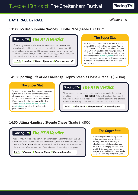# Tuesday 15th March The Cheltenham Festival

**Racing TVi** 

# **DAY 1 RACE BY RACE** *\*All times GMT*

### **13:30 Sky Bet Supreme Novices' Hurdle Race** (Grade 1) (3300m)



A fascinating renewal in which narrow preference is for JONBON. He was only workmanlike at Haydock last time but this better ground will suit. Stablemate Constitution Hill has done nothing wrong in two wins at Sandown but faces a very different test here, so a bigger threat may come from the Willlie Mullins pair of Dysart Dynamo and Kilcruit.

#### **1-2-3:** *1 Jonbon 2 Dysart Dynamo 3 Constitution Hill*

#### **The Super Stat**

Six of the past nine winners have had an official rating of 153 or higher. They have been Vautour (155), Douvan (155), Altior (155), Klassical Dream (154), Shishkin (153) and, last year, Appreciate It (153). Much has been made of the quality of this year's renewal but *Dysart Dynamo* (rated 152) is the highest-rated runner and so this year's contest is more about undoubted potential than very strong form.

#### **14:10 Sporting Life Arkle Challenge Trophy Steeple Chase** (Grade 1) (3200m)

#### **The Super Stat**

Between 1998 and 2006, four renewals were won by five-year-olds. However, since the 5lb age allowance was scrubbed 13 years ago, they are 0/13 in the race. Allmankind was well-fancied 12 months ago but finished fourth of the five runners. *Riviere D'etel*, *Haut En Couleurs*  and *Saint Sam* are set to fly the flag for the generation this year.

### *The RTVi Verdict*

Edwardstone is clearly a better chaser than he was a hurdler, but he faces a stern Irish challenge led by **BLUE LORD**. Willie Mullins' charge had a good tussle with the mare Riviere D'etel at Leopardstown last month and is fancied to confirm the placings here. Coeur Sublime looks the pick of the rest.

#### **1-2-3:** *1 Blue Lord 2 Riviere D'etel 3 Edwardstone*

#### **14:50 Ultima Handicap Steeple Chase** (Grade 3) (5000m)

# *The RTVi Verdict*

Does He Know may do better from his prominent position than the usually held-up Corach Rambler, while Fortescue is another who may need luck on his side. Preference, however, is for **FLOUEUR** who has taken a step forward on his last two starts and his third at last year's Festival reads well. Fantastikas and Kiltealy Briggs are respected.

#### **1-2-3:** *1 Floueur 2 Does He Know 3 Corach Rambler*

#### **The Super Stat**

Nine of the past ten runnings of the Ultima have been won by a horse wearing some form ofhheadgear (cheekpieces or blinkers but never a visor) at prices ranging between 15-2 and 28-1. On four occasions they've enjoyed a 1-2, and in 2016 a spectacular 1-2-3 - the Trifecta paying over 2,000-1.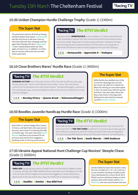**Racing TVi** 

### **15:30 Unibet Champion Hurdle Challenge Trophy** (Grade 1) (3300m)

The past seven winners all lined up having not been beaten that season. *Honeysuckle*  was the only horse in last year's line-up who had a blemish-free campaign and has again been flawless this term. *Appreciate It* hasn't tasted defeat either but, then again, he hasn't run. In addition, 27 of the past 31 winners of the race won on their

# **The Super Stat The RTVi Verdict**

Last year's winner **HONEYSUCKLE** is now unbeaten in 14 starts under Rules and looks impossible to oppose here; she can become just the second back-to-back winner since 2005. Appreciate It is a fascinating contender, making his first start since winning last year's Supreme Novices', but this looks a very tough ask. A safer bet for the forecast looks to be the progressive five-year-old Teahupoo.

#### past 31 winners of the race won on their **1-2-3: 1 Honeysuckle 2 Appreciate It 3 Teahupoo**

### **16:10 Close Brothers Mares' Hurdle Race** (Grade 1) (4000m)

# *The RTVi Verdict*

**BURNING VICTORY** was a fortunate winner of the Triumph Hurdle two years ago but has done well - both on the Flat and over hurdles - since. She is fancied to confirm her Punchestown form with Queens Brook. Telmesomethinggirl, a winner at this meeting last year, and recent Relkeel Hurdle winner Stormy Ireland are the most pertinent dangers.

#### **1-2-3:** *1 Burning Victory 2Queens Brook 3 Telmesomethinggirl*

#### **The Super Stat**

Willie Mullins has saddled nine of the 13 winners (Quevega won six) and the runner-up when he's missed out. When his winning run was interrupted in 2017, he went close with the second and third. Two years later, Benie Des Dieux had victory in the bag when falling but he also had the eventual second in *Stormy Ireland*.

### **16:50 Boodles Juvenile Handicap Hurdle Race** (Grade 3) (3300m)

#### **The Super Stat**

Nine of the 17 winners began their careers in France, and Saint Sam, who was second last year, went close to increasing that tally 12 months ago. This year's favourite *Gaelic Warrior* had three runs at Auteuil for his previous yard and his form suggests a handicap mark of 129 may prove lenient.

## *The RTVi Verdict*

All the talk has been around Gaelic Warrior's potentially lenient mark of 129, but the more recent form of THE TIDE TURNS is preferred. He was all at sea on heavy ground last month but is expected to relish the hustle and bustle of this race, having beaten 19 rivals (including HMS Seahorse, Brazil and Champion Green) on his hurdling bow.

**1-2-3:** *1 The Tide Turns 2 Gaelic Warrior 3HMS Seahorse*

#### **17:30 Ukraine Appeal National Hunt Challenge Cup Novices' Steeple Chase** (Grade 2) (6000m)

# *The RTVi Verdict*

**VANILLIER** was giving away plenty of weight when only third behind Stattler at Naas in January and last year's Albert Bartlett winner is fancied to turn the tables on his old rival now back off level weights at the scene of his biggest win. Gordon Elliott has a good record in the race and his dour stayer Run Wild Fred is respected accordingly.

#### **1-2-3:** *1 Vanillier 2 Stattler 3 Run Wild Fred*

#### **The Super Stat**

Gordon Elliott has had nine runners in this; four won at odds of 5-1, 8-1, 16-1 and 12-1, so you would be showing a healthy profit if you had backed his runners blind. All of Elliott's winners had been beaten on their previous start which bodes well for *Run Wild Fred*, who was second when last seen.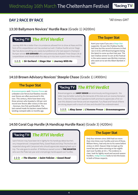### **DAY 2 RACE BY RACE** *\*All times GMT*

#### **13:30 Ballymore Novices' Hurdle Race** (Grade 1) (4200m)

# *The RTVi Verdict*

Journey With Me is better than circumstances allowed him to show at Naas and the form of his Leopardstown win has worked out well. Challow Hurdle winner Stage Star has done everything very easily but preference is for last season's Champion Bumper winner SIR GERHARD who comprehensively defeated Three Stripe Life at Leopardstown and should relish this step up in trip (won a point over three miles).

**1-2-3:** *1 Sir Gerhard 2 Stage Star 3 Journey With Me*

#### **The Super Stat**

Avert your eyes if you are a *Stage Star* supporter. He won the Challow Hurdle last time but the record of winners in that race is 0/18, with Bravemansgame being the latest to come up short last year. The last Challow winner to win at the Festival in the same season was Wichita Lineman, who went on to win the Albert Bartlett in 2007.

#### **14:10 Brown Advisory Novices' Steeple Chase** (Grade 1) (4900m)

#### **The Super Stat**

*Bravemansgame* and *L'Homme Presse* are unbeaten over fences but flawless records over fences are often punctured in this race. This century, there have been only three winners who boasted a 100 per cent record over fences after victory in the race – Denman, Don Poli and Monkfish. The last-named made his backers sweat before landing cramped odds 12 months ago.

### *The RTVi Verdict*

Bravemansgame and **AHOY SENOR** are enormously exciting prospects - the latter may be better suited by the demands of this test and can reverse Kempton form. L'Homme Presse and Capodanno both promise to appreciate a first run over this distance over fences and are respected. Fury Road and Farouk d'Alene are strong stayers with a touch of class and shouldn't be underestimated.

**1-2-3:** *1 Ahoy Senor 2 L'Homme Presse 3 Bravemansgame*

#### **14:50 Coral Cup Hurdle (A Handicap Hurdle Race)** (Grade 3) (4200m)

## *The RTVi Verdict*

Saint Felicien may have been let in lightly for his handicap debut but he's very inexperienced. Unexpected Party, Gowel Road and Drop The Anchor are respected along with Camprond who should appreciate stepping back up in trip. The vote goes to another JP McManus owned runner in THE SHUNTER who won the Plate last year and is temptingly handicapped over hurdles.

#### **1-2-3:** *1 The Shunter 2 Saint Felicien 3 Gowel Road*

#### **The Super Stat**

Only four winners since 2000 had run more than nine times over hurdles and one of those, William Henry, had only ten to his name before victory in 2019. Heaven Help Us kept up the trend last year when winning on her eighth start over hurdles at 33-1. The evidence is clear: look for lightly raced and second-season hurdlers. *Indigo Breeze* looks to tick the boxes in both of those respects.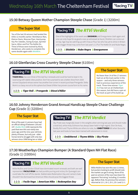#### **15:30 Betway Queen Mother Champion Steeple Chase** (Grade 1) (3200m)

Ten of the last 30 winners had landed the Arkle 12 months earlier: Remittance Man, Klairon Davis, Moscow Flyer, Azertyuiop, Voy Por Ustedes, Sizing Europe, Sprinter Sacre, Altior and Put The Kettle On. Three of those were trained by Nicky Henderson, who seeks to complete the same double again with *Shishkin*. **1-2-3:** *1 Shishkin 2Nube Negra 3 Energumene*

# **The Super Stat The RTVi Verdict**

One of the highlights of the week sees **SHISHKIN** and Energumene clash again and one can only hope for as good a race as witnessed at Ascot; Shishkin can come out on top. Age may be catching up with Chacun Pour Soi who has yet to shine in Britain and a bigger threat may come from last year's 1-2 Put The Kettle On and Nube Negra.

### **16:10 Glenfarclas Cross Country Steeple Chase** (6100m)

# *The RTVi Verdict*

TIGER ROLL has won three of the last four renewals and could be hard to beat in his swansong with stable vibes positive. Don't be surprised to see a better show from 2020 winner Easysland whose owner has another live runner in recent purchase Prengarde. Delta Work is a classy recruit to this sphere but Diesel d'Allier has proven course form to his name.

#### **1-2-3:** *1 Tiger Roll 2 Prengarde 3 Diesel d'Allier*

**The Super Stat**

No fewer than 14 of the 17 winners had run at the track earlier in the season – and only three winners had no previous experience of the track. Three-time winner *Tiger Roll* has not run at Cheltenham this season, but did have a spin at the track as part of his build-up.

#### **16:50 Johnny Henderson Grand Annual Handicap Steeple Chase Challenge Cup** (Grade 3) (3200m)

#### **The Super Stat**

Nine of the past 11 winners have had an official rating of between 138 and 147. *Buddy Rich* (144) represents the yard that won this race easily two years ago and the nine-year-old ticks plenty of boxes, but only just - older horses tend to struggle with only two winners since 1998 being ten or older.

#### *The RTVi Verdict* Racing TVi

Sky Pirate was marginally lower in the weights when winning last year and should make a bold bid, while Andy Dufresne has always been held in high regard. Elixir De Nutz, Buddy Rich and Thyme White are others to note, but **EMBITTERED** fell when favourite last year and looks to have been trained with atonement in mind.

#### **1-2-3:** *1 Embittered 2 Thyme White 3 Sky Pirate*

#### **17:30 Weatherbys Champion Bumper (A Standard Open NH Flat Race)**  (Grade 1) (3300m)

# *The RTVi Verdict*

Willie Mullins and Gordon Elliott have dominated recent renewals and both are well represented. FACILE VEGA has had pundits purring and victory for Quevega's son could take the roof off the stands. Stablemates Redemption Day and James's Gate shouldn't be dismissed but American Mike should pose the biggest threat.

**1-2-3:** *1 Facile Vega 2 American Mike 3 Redemption Day*

#### **The Super Stat**

Willie Mullins has won this race 11 times, but punters looking to profit should note the market can get it wrong. None of his past six winners of the race have been his apparent 'first string' including 12 months ago. Before that, his previous five winners returned at 12-1, 16-1, 25-1, 25-1 and 11-1.